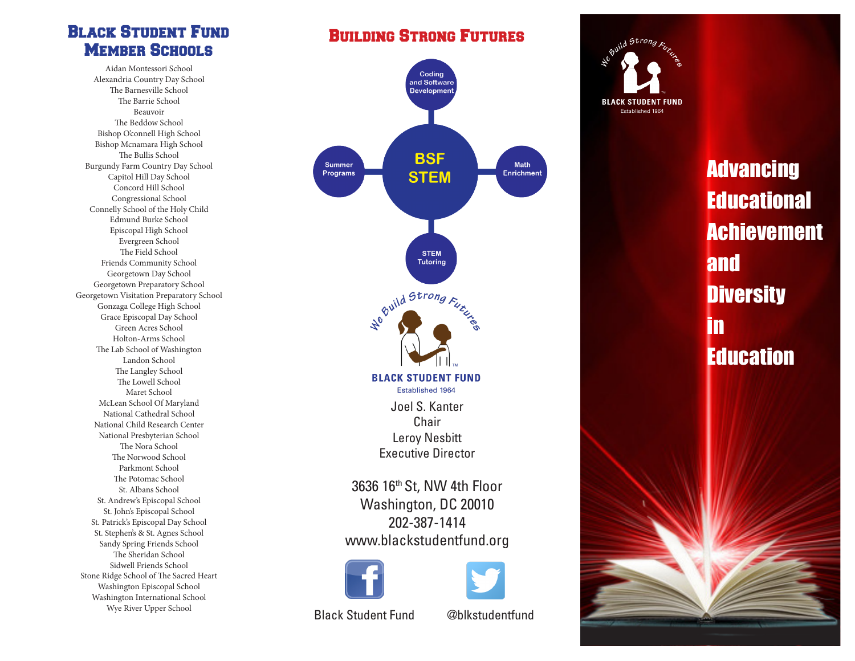#### Black Student Fund **MEMBER SCHOOLS**

Aidan Montessori School Alexandria Country Day School The Barnesville School The Barrie School Beauvoir The Beddow School Bishop O'connell High School Bishop Mcnamara High School The Bullis School Burgundy Farm Country Day School Capitol Hill Day School Concord Hill School Congressional School Connelly School of the Holy Child Edmund Burke School Episcopal High School Evergreen School The Field School Friends Community School Georgetown Day School Georgetown Preparatory School Georgetown Visitation Preparatory School Gonzaga College High School Grace Episcopal Day School Green Acres School Holton-Arms School The Lab School of Washington Landon School The Langley School The Lowell School Maret School McLean School Of Maryland National Cathedral School National Child Research Center National Presbyterian School The Nora School The Norwood School Parkmont School The Potomac School St. Albans School St. Andrew's Episcopal School St. John's Episcopal School St. Patrick's Episcopal Day School St. Stephen's & St. Agnes School Sandy Spring Friends School The Sheridan School Sidwell Friends School Stone Ridge School of The Sacred Heart Washington Episcopal School Washington International School Wye River Upper School

### Building Strong Futures



**BLACK STUDENT FUND** Established 1964

> **Advancing Educational** Achievement and **Diversity** in **Education**